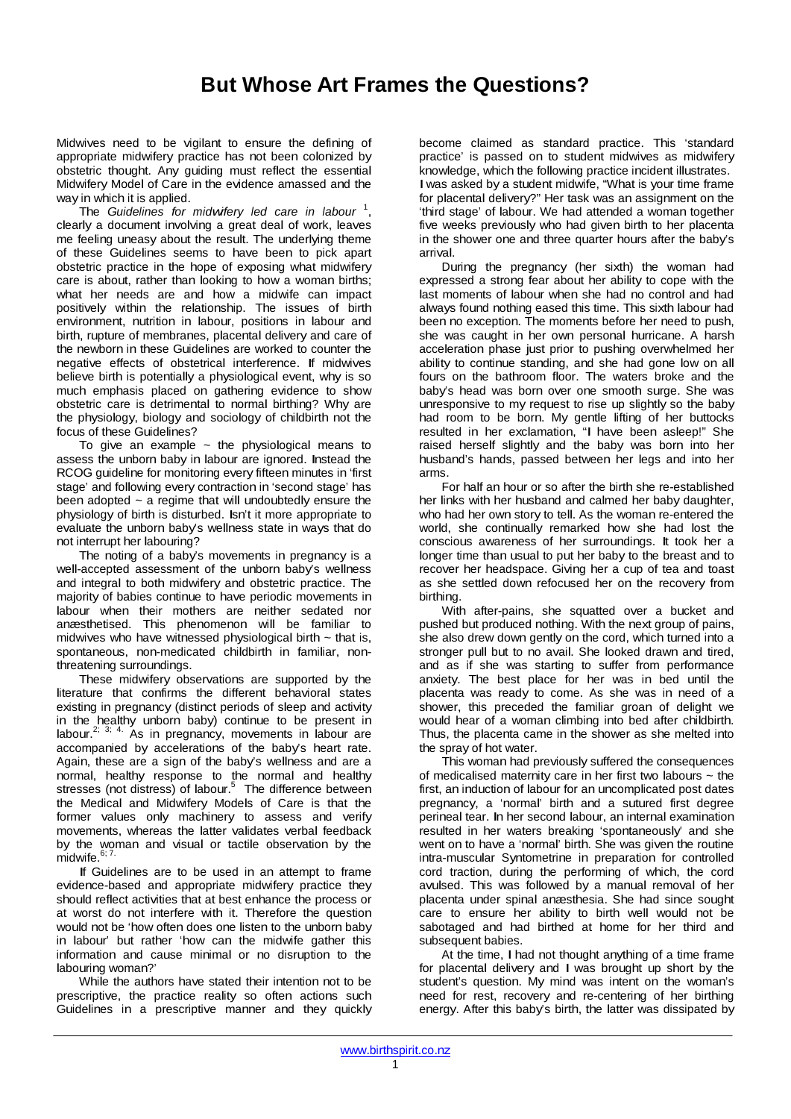## **But Whose Art Frames the Questions?**

Midwives need to be vigilant to ensure the defining of appropriate midwifery practice has not been colonized by obstetric thought. Any guiding must reflect the essential Midwifery Model of Care in the evidence amassed and the way in which it is applied.

The *Guidelines for midwifery led care in labour* <sup>1</sup> , clearly a document involving a great deal of work, leaves me feeling uneasy about the result. The underlying theme of these Guidelines seems to have been to pick apart obstetric practice in the hope of exposing what midwifery care is about, rather than looking to how a woman births; what her needs are and how a midwife can impact positively within the relationship. The issues of birth environment, nutrition in labour, positions in labour and birth, rupture of membranes, placental delivery and care of the newborn in these Guidelines are worked to counter the negative effects of obstetrical interference. If midwives believe birth is potentially a physiological event, why is so much emphasis placed on gathering evidence to show obstetric care is detrimental to normal birthing? Why are the physiology, biology and sociology of childbirth not the focus of these Guidelines?

To give an example  $\sim$  the physiological means to assess the unborn baby in labour are ignored. Instead the RCOG guideline for monitoring every fifteen minutes in 'first stage' and following every contraction in 'second stage' has been adopted  $\sim$  a regime that will undoubtedly ensure the physiology of birth is disturbed. Isn't it more appropriate to evaluate the unborn baby's wellness state in ways that do not interrupt her labouring?

The noting of a baby's movements in pregnancy is a well-accepted assessment of the unborn baby's wellness and integral to both midwifery and obstetric practice. The majority of babies continue to have periodic movements in labour when their mothers are neither sedated nor anæsthetised. This phenomenon will be familiar to midwives who have witnessed physiological birth  $\sim$  that is, spontaneous, non-medicated childbirth in familiar, nonthreatening surroundings.

These midwifery observations are supported by the literature that confirms the different behavioral states existing in pregnancy (distinct periods of sleep and activity in the healthy unborn baby) continue to be present in labour.<sup>2; 3; 4.</sup> As in pregnancy, movements in labour are accompanied by accelerations of the baby's heart rate. Again, these are a sign of the baby's wellness and are a normal, healthy response to the normal and healthy stresses (not distress) of labour.<sup>5</sup> The difference between the Medical and Midwifery Models of Care is that the former values only machinery to assess and verify movements, whereas the latter validates verbal feedback by the woman and visual or tactile observation by the  $midwise$ .<sup>6; 7.</sup>

If Guidelines are to be used in an attempt to frame evidence-based and appropriate midwifery practice they should reflect activities that at best enhance the process or at worst do not interfere with it. Therefore the question would not be 'how often does one listen to the unborn baby in labour' but rather 'how can the midwife gather this information and cause minimal or no disruption to the labouring woman?'

While the authors have stated their intention not to be prescriptive, the practice reality so often actions such Guidelines in a prescriptive manner and they quickly become claimed as standard practice. This 'standard practice' is passed on to student midwives as midwifery knowledge, which the following practice incident illustrates. Iwas asked by <sup>a</sup> student midwife, "What is your time frame for placental delivery?" Her task was an assignment on the 'third stage' of labour. We had attended a woman together five weeks previously who had given birth to her placenta in the shower one and three quarter hours after the baby's arrival.

During the pregnancy (her sixth) the woman had expressed a strong fear about her ability to cope with the last moments of labour when she had no control and had always found nothing eased this time. This sixth labour had been no exception. The moments before her need to push, she was caught in her own personal hurricane. A harsh acceleration phase just prior to pushing overwhelmed her ability to continue standing, and she had gone low on all fours on the bathroom floor. The waters broke and the baby's head was born over one smooth surge. She was unresponsive to my request to rise up slightly so the baby had room to be born. My gentle lifting of her buttocks resulted in her exclamation, "I have been asleep!" She raised herself slightly and the baby was born into her husband's hands, passed between her legs and into her arms.

For half an hour or so after the birth she re-established her links with her husband and calmed her baby daughter, who had her own story to tell. As the woman re-entered the world, she continually remarked how she had lost the conscious awareness of her surroundings. It took her <sup>a</sup> longer time than usual to put her baby to the breast and to recover her headspace. Giving her a cup of tea and toast as she settled down refocused her on the recovery from birthing.

With after-pains, she squatted over a bucket and pushed but produced nothing. With the next group of pains, she also drew down gently on the cord, which turned into a stronger pull but to no avail. She looked drawn and tired, and as if she was starting to suffer from performance anxiety. The best place for her was in bed until the placenta was ready to come. As she was in need of a shower, this preceded the familiar groan of delight we would hear of a woman climbing into bed after childbirth. Thus, the placenta came in the shower as she melted into the spray of hot water.

This woman had previously suffered the consequences of medicalised maternity care in her first two labours  $\sim$  the first, an induction of labour for an uncomplicated post dates pregnancy, a 'normal' birth and a sutured first degree perineal tear. In her second labour, an internal examination resulted in her waters breaking 'spontaneously' and she went on to have a 'normal' birth. She was given the routine intra-muscular Syntometrine in preparation for controlled cord traction, during the performing of which, the cord avulsed. This was followed by a manual removal of her placenta under spinal anæsthesia. She had since sought care to ensure her ability to birth well would not be sabotaged and had birthed at home for her third and subsequent babies.

At the time, I had not thought anything of a time frame for placental delivery and I was brought up short by the student's question. My mind was intent on the woman's need for rest, recovery and re-centering of her birthing energy. After this baby's birth, the latter was dissipated by